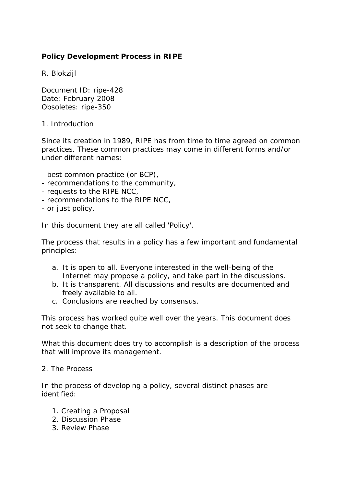# **Policy Development Process in RIPE**

R. Blokzijl

Document ID: ripe-428 Date: February 2008 Obsoletes: ripe-350

## 1. Introduction

Since its creation in 1989, RIPE has from time to time agreed on common practices. These common practices may come in different forms and/or under different names:

- best common practice (or BCP),
- recommendations to the community,
- requests to the RIPE NCC,
- recommendations to the RIPE NCC,
- or just policy.

In this document they are all called 'Policy'.

The process that results in a policy has a few important and fundamental principles:

- a. It is open to all. Everyone interested in the well-being of the Internet may propose a policy, and take part in the discussions.
- b. It is transparent. All discussions and results are documented and freely available to all.
- c. Conclusions are reached by consensus.

This process has worked quite well over the years. This document does not seek to change that.

What this document does try to accomplish is a description of the process that will improve its management.

### 2. The Process

In the process of developing a policy, several distinct phases are identified:

- 1. Creating a Proposal
- 2. Discussion Phase
- 3. Review Phase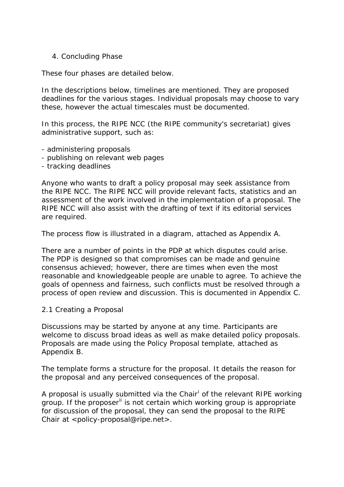### 4. Concluding Phase

These four phases are detailed below.

In the descriptions below, timelines are mentioned. They are proposed deadlines for the various stages. Individual proposals may choose to vary these, however the actual timescales must be documented.

In this process, the RIPE NCC (the RIPE community's secretariat) gives administrative support, such as:

- administering proposals
- publishing on relevant web pages
- tracking deadlines

Anyone who wants to draft a policy proposal may seek assistance from the RIPE NCC. The RIPE NCC will provide relevant facts, statistics and an assessment of the work involved in the implementation of a proposal. The RIPE NCC will also assist with the drafting of text if its editorial services are required.

The process flow is illustrated in a diagram, attached as Appendix A.

There are a number of points in the PDP at which disputes could arise. The PDP is designed so that compromises can be made and genuine consensus achieved; however, there are times when even the most reasonable and knowledgeable people are unable to agree. To achieve the goals of openness and fairness, such conflicts must be resolved through a process of open review and discussion. This is documented in Appendix C.

### 2.1 Creating a Proposal

Discussions may be started by anyone at any time. Participants are welcome to discuss broad ideas as well as make detailed policy proposals. Proposals are made using the Policy Proposal template, attached as Appendix B.

The template forms a structure for the proposal. It details the reason for the proposal and any perceived consequences of the proposal.

A proposal [i](#page-7-0)s usually submitted via the Chair<sup>i</sup> of the relevant RIPE working group. If the proposer<sup>[ii](#page-7-1)</sup> is not certain which working group is appropriate for discussion of the proposal, they can send the proposal to the RIPE Chair at <policy-proposal@ripe.net>.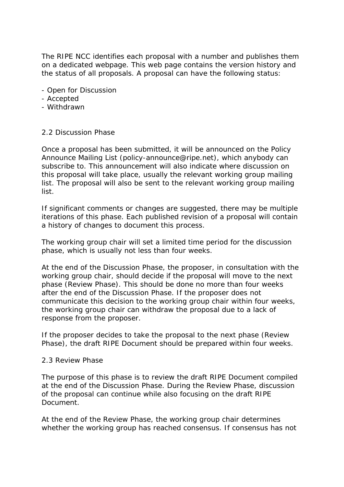The RIPE NCC identifies each proposal with a number and publishes them on a dedicated webpage. This web page contains the version history and the status of all proposals. A proposal can have the following status:

- Open for Discussion
- Accepted
- Withdrawn

## 2.2 Discussion Phase

Once a proposal has been submitted, it will be announced on the Policy Announce Mailing List (policy-announce@ripe.net), which anybody can subscribe to. This announcement will also indicate where discussion on this proposal will take place, usually the relevant working group mailing list. The proposal will also be sent to the relevant working group mailing list.

If significant comments or changes are suggested, there may be multiple iterations of this phase. Each published revision of a proposal will contain a history of changes to document this process.

The working group chair will set a limited time period for the discussion phase, which is usually not less than four weeks.

At the end of the Discussion Phase, the proposer, in consultation with the working group chair, should decide if the proposal will move to the next phase (Review Phase). This should be done no more than four weeks after the end of the Discussion Phase. If the proposer does not communicate this decision to the working group chair within four weeks, the working group chair can withdraw the proposal due to a lack of response from the proposer.

If the proposer decides to take the proposal to the next phase (Review Phase), the draft RIPE Document should be prepared within four weeks.

### 2.3 Review Phase

The purpose of this phase is to review the draft RIPE Document compiled at the end of the Discussion Phase. During the Review Phase, discussion of the proposal can continue while also focusing on the draft RIPE Document.

At the end of the Review Phase, the working group chair determines whether the working group has reached consensus. If consensus has not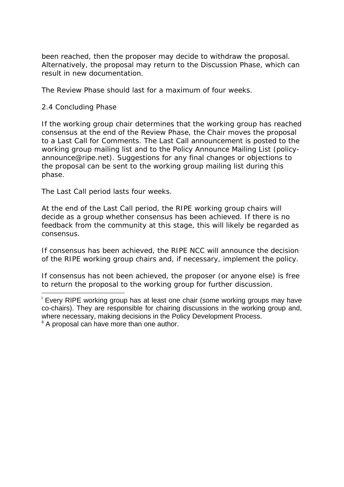been reached, then the proposer may decide to withdraw the proposal. Alternatively, the proposal may return to the Discussion Phase, which can result in new documentation.

The Review Phase should last for a maximum of four weeks.

## 2.4 Concluding Phase

<u>.</u>

If the working group chair determines that the working group has reached consensus at the end of the Review Phase, the Chair moves the proposal to a Last Call for Comments. The Last Call announcement is posted to the working group mailing list and to the Policy Announce Mailing List (policyannounce@ripe.net). Suggestions for any final changes or objections to the proposal can be sent to the working group mailing list during this phase.

The Last Call period lasts four weeks.

At the end of the Last Call period, the RIPE working group chairs will decide as a group whether consensus has been achieved. If there is no feedback from the community at this stage, this will likely be regarded as consensus.

If consensus has been achieved, the RIPE NCC will announce the decision of the RIPE working group chairs and, if necessary, implement the policy.

If consensus has not been achieved, the proposer (or anyone else) is free to return the proposal to the working group for further discussion.

<sup>&</sup>lt;sup>i</sup> Every RIPE working group has at least one chair (some working groups may have co-chairs). They are responsible for chairing discussions in the working group and, where necessary, making decisions in the Policy Development Process. <sup>ii</sup> A proposal can have more than one author.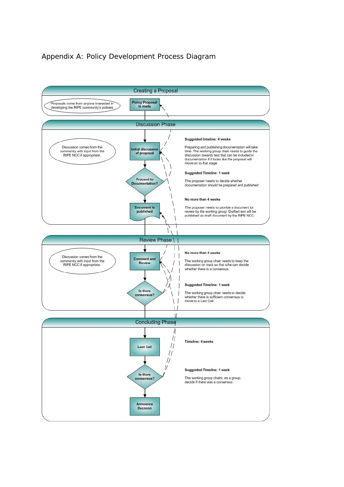## Appendix A: Policy Development Process Diagram

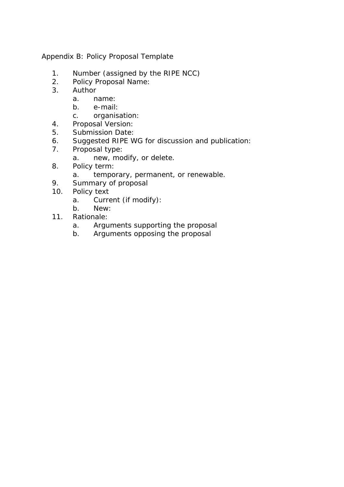Appendix B: Policy Proposal Template

- 1. Number (assigned by the RIPE NCC)
- 2. Policy Proposal Name:
- 3. Author
	- a. name:
	- b. e-mail:
	- c. organisation:
- 4. Proposal Version:
- 5. Submission Date:
- 6. Suggested RIPE WG for discussion and publication:
- 7. Proposal type:
	- a. new, modify, or delete.
- 8. Policy term:
	- a. temporary, permanent, or renewable.
- 9. Summary of proposal
- 10. Policy text
	- a. Current (if modify):
	- b. New:
- 11. Rationale:
	- a. Arguments supporting the proposal
	- b. Arguments opposing the proposal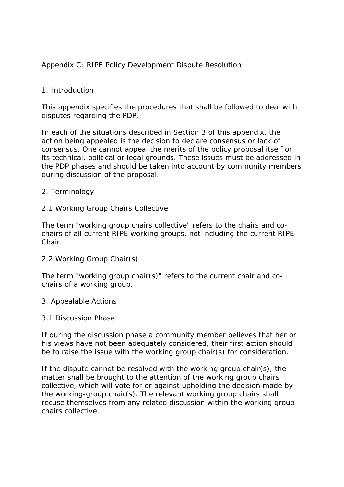# Appendix C: RIPE Policy Development Dispute Resolution

## 1. Introduction

This appendix specifies the procedures that shall be followed to deal with disputes regarding the PDP.

In each of the situations described in Section 3 of this appendix, the action being appealed is the decision to declare consensus or lack of consensus. One cannot appeal the merits of the policy proposal itself or its technical, political or legal grounds. These issues must be addressed in the PDP phases and should be taken into account by community members during discussion of the proposal.

## 2. Terminology

2.1 Working Group Chairs Collective

The term "working group chairs collective" refers to the chairs and cochairs of all current RIPE working groups, not including the current RIPE Chair.

2.2 Working Group Chair(s)

The term "working group chair(s)" refers to the current chair and cochairs of a working group.

3. Appealable Actions

3.1 Discussion Phase

If during the discussion phase a community member believes that her or his views have not been adequately considered, their first action should be to raise the issue with the working group chair(s) for consideration.

If the dispute cannot be resolved with the working group chair(s), the matter shall be brought to the attention of the working group chairs collective, which will vote for or against upholding the decision made by the working-group chair(s). The relevant working group chairs shall recuse themselves from any related discussion within the working group chairs collective.